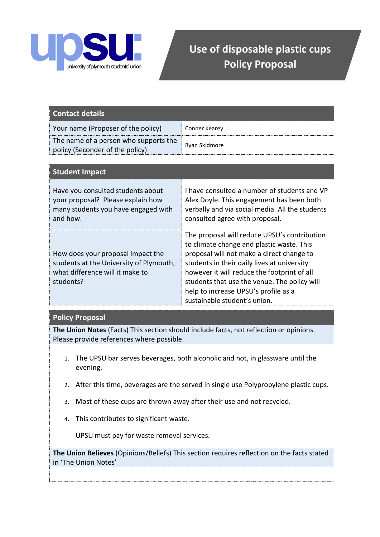

## **Use of disposable plastic cups Policy Proposal**

| Contact details                                                          |               |
|--------------------------------------------------------------------------|---------------|
| Your name (Proposer of the policy)                                       | Conner Kearey |
| The name of a person who supports the<br>policy (Seconder of the policy) | Ryan Skidmore |

| <b>Student Impact</b>                                                                                                        |                                                                                                                                                                                                                                                                                                                                                              |
|------------------------------------------------------------------------------------------------------------------------------|--------------------------------------------------------------------------------------------------------------------------------------------------------------------------------------------------------------------------------------------------------------------------------------------------------------------------------------------------------------|
| Have you consulted students about<br>your proposal? Please explain how<br>many students you have engaged with<br>and how.    | I have consulted a number of students and VP<br>Alex Doyle. This engagement has been both<br>verbally and via social media. All the students<br>consulted agree with proposal.                                                                                                                                                                               |
| How does your proposal impact the<br>students at the University of Plymouth,<br>what difference will it make to<br>students? | The proposal will reduce UPSU's contribution<br>to climate change and plastic waste. This<br>proposal will not make a direct change to<br>students in their daily lives at university<br>however it will reduce the footprint of all<br>students that use the venue. The policy will<br>help to increase UPSU's profile as a<br>sustainable student's union. |

## **Policy Proposal**

**The Union Notes** (Facts) This section should include facts, not reflection or opinions. Please provide references where possible.

- 1. The UPSU bar serves beverages, both alcoholic and not, in glassware until the evening.
- 2. After this time, beverages are the served in single use Polypropylene plastic cups.
- 3. Most of these cups are thrown away after their use and not recycled.
- 4. This contributes to significant waste.

**5.** UPSU must pay for waste removal services.

**The Union Believes** (Opinions/Beliefs) This section requires reflection on the facts stated in 'The Union Notes'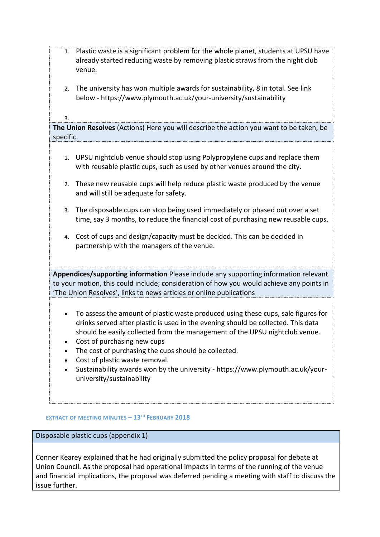| 1.        | Plastic waste is a significant problem for the whole planet, students at UPSU have<br>already started reducing waste by removing plastic straws from the night club<br>venue.                                                                                                                                                                                                                                                                                                                 |
|-----------|-----------------------------------------------------------------------------------------------------------------------------------------------------------------------------------------------------------------------------------------------------------------------------------------------------------------------------------------------------------------------------------------------------------------------------------------------------------------------------------------------|
| 2.        | The university has won multiple awards for sustainability, 8 in total. See link<br>below - https://www.plymouth.ac.uk/your-university/sustainability                                                                                                                                                                                                                                                                                                                                          |
| 3.        |                                                                                                                                                                                                                                                                                                                                                                                                                                                                                               |
| specific. | The Union Resolves (Actions) Here you will describe the action you want to be taken, be                                                                                                                                                                                                                                                                                                                                                                                                       |
|           |                                                                                                                                                                                                                                                                                                                                                                                                                                                                                               |
| 1.        | UPSU nightclub venue should stop using Polypropylene cups and replace them<br>with reusable plastic cups, such as used by other venues around the city.                                                                                                                                                                                                                                                                                                                                       |
| 2.        | These new reusable cups will help reduce plastic waste produced by the venue<br>and will still be adequate for safety.                                                                                                                                                                                                                                                                                                                                                                        |
| 3.        | The disposable cups can stop being used immediately or phased out over a set<br>time, say 3 months, to reduce the financial cost of purchasing new reusable cups.                                                                                                                                                                                                                                                                                                                             |
| 4.        | Cost of cups and design/capacity must be decided. This can be decided in<br>partnership with the managers of the venue.                                                                                                                                                                                                                                                                                                                                                                       |
|           | Appendices/supporting information Please include any supporting information relevant                                                                                                                                                                                                                                                                                                                                                                                                          |
|           | to your motion, this could include; consideration of how you would achieve any points in<br>'The Union Resolves', links to news articles or online publications                                                                                                                                                                                                                                                                                                                               |
|           |                                                                                                                                                                                                                                                                                                                                                                                                                                                                                               |
|           | To assess the amount of plastic waste produced using these cups, sale figures for<br>drinks served after plastic is used in the evening should be collected. This data<br>should be easily collected from the management of the UPSU nightclub venue.<br>Cost of purchasing new cups<br>The cost of purchasing the cups should be collected.<br>Cost of plastic waste removal.<br>Sustainability awards won by the university - https://www.plymouth.ac.uk/your-<br>university/sustainability |

## **EXTRACT OF MEETING MINUTES – 13TH FEBRUARY 2018**

Disposable plastic cups (appendix 1)

Conner Kearey explained that he had originally submitted the policy proposal for debate at Union Council. As the proposal had operational impacts in terms of the running of the venue and financial implications, the proposal was deferred pending a meeting with staff to discuss the issue further.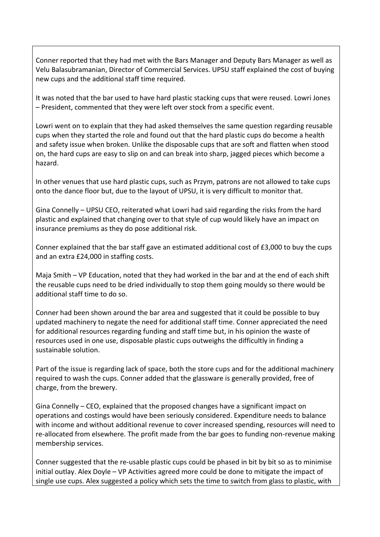Conner reported that they had met with the Bars Manager and Deputy Bars Manager as well as Velu Balasubramanian, Director of Commercial Services. UPSU staff explained the cost of buying new cups and the additional staff time required.

It was noted that the bar used to have hard plastic stacking cups that were reused. Lowri Jones – President, commented that they were left over stock from a specific event.

Lowri went on to explain that they had asked themselves the same question regarding reusable cups when they started the role and found out that the hard plastic cups do become a health and safety issue when broken. Unlike the disposable cups that are soft and flatten when stood on, the hard cups are easy to slip on and can break into sharp, jagged pieces which become a hazard.

In other venues that use hard plastic cups, such as Przym, patrons are not allowed to take cups onto the dance floor but, due to the layout of UPSU, it is very difficult to monitor that.

Gina Connelly – UPSU CEO, reiterated what Lowri had said regarding the risks from the hard plastic and explained that changing over to that style of cup would likely have an impact on insurance premiums as they do pose additional risk.

Conner explained that the bar staff gave an estimated additional cost of £3,000 to buy the cups and an extra £24,000 in staffing costs.

Maja Smith – VP Education, noted that they had worked in the bar and at the end of each shift the reusable cups need to be dried individually to stop them going mouldy so there would be additional staff time to do so.

Conner had been shown around the bar area and suggested that it could be possible to buy updated machinery to negate the need for additional staff time. Conner appreciated the need for additional resources regarding funding and staff time but, in his opinion the waste of resources used in one use, disposable plastic cups outweighs the difficultly in finding a sustainable solution.

Part of the issue is regarding lack of space, both the store cups and for the additional machinery required to wash the cups. Conner added that the glassware is generally provided, free of charge, from the brewery.

Gina Connelly – CEO, explained that the proposed changes have a significant impact on operations and costings would have been seriously considered. Expenditure needs to balance with income and without additional revenue to cover increased spending, resources will need to re-allocated from elsewhere. The profit made from the bar goes to funding non-revenue making membership services.

Conner suggested that the re-usable plastic cups could be phased in bit by bit so as to minimise initial outlay. Alex Doyle – VP Activities agreed more could be done to mitigate the impact of single use cups. Alex suggested a policy which sets the time to switch from glass to plastic, with